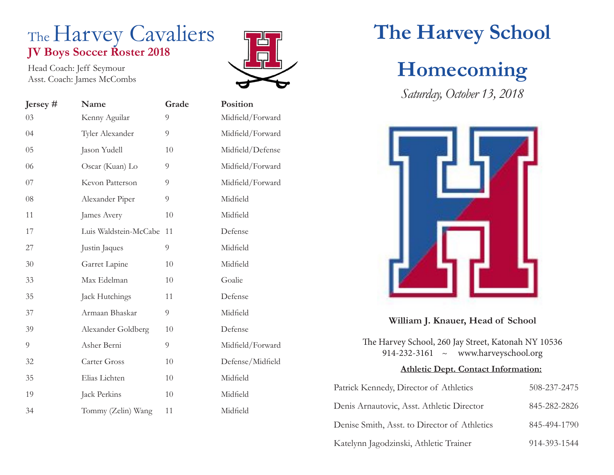#### The Harvey Cavaliers **JV Boys Soccer Roster 2018**

Head Coach: Jeff Seymour Asst. Coach: James McCombs

| Jersey $#$ | Name                  | Grade | Positio  |
|------------|-----------------------|-------|----------|
| 03         | Kenny Aguilar         | 9     | Midfield |
| 04         | Tyler Alexander       | 9     | Midfield |
| 05         | Jason Yudell          | 10    | Midfield |
| 06         | Oscar (Kuan) Lo       | 9     | Midfield |
| $07\,$     | Kevon Patterson       | 9     | Midfield |
| 08         | Alexander Piper       | 9     | Midfield |
| 11         | James Avery           | 10    | Midfield |
| 17         | Luis Waldstein-McCabe | 11    | Defense  |
| 27         | Justin Jaques         | 9     | Midfield |
| 30         | Garret Lapine         | 10    | Midfield |
| 33         | Max Edelman           | 10    | Goalie   |
| 35         | Jack Hutchings        | 11    | Defense  |
| 37         | Armaan Bhaskar        | 9     | Midfield |
| 39         | Alexander Goldberg    | 10    | Defense  |
| 9          | Asher Berni           | 9     | Midfield |
| 32         | Carter Gross          | 10    | Defense  |
| 35         | Elias Lichten         | 10    | Midfield |
| 19         | Jack Perkins          | 10    | Midfield |
| 34         | Tommy (Zelin) Wang    | 11    | Midfield |



# **Position** Midfield/Forward Midfield/Forward Midfield/Defense Midfield/Forward Midfield/Forward Midfield/Forward Defense/Midfield Midfield

## **The Harvey School**

## **Homecoming**

*Saturday, October 13, 2018*



#### **William J. Knauer, Head of School**

The Harvey School, 260 Jay Street, Katonah NY 10536 914-232-3161 ~ www.harveyschool.org

#### **Athletic Dept. Contact Information:**

| Patrick Kennedy, Director of Athletics       | 508-237-2475 |
|----------------------------------------------|--------------|
| Denis Arnautovic, Asst. Athletic Director    | 845-282-2826 |
| Denise Smith, Asst. to Director of Athletics | 845-494-1790 |
| Katelynn Jagodzinski, Athletic Trainer       | 914-393-1544 |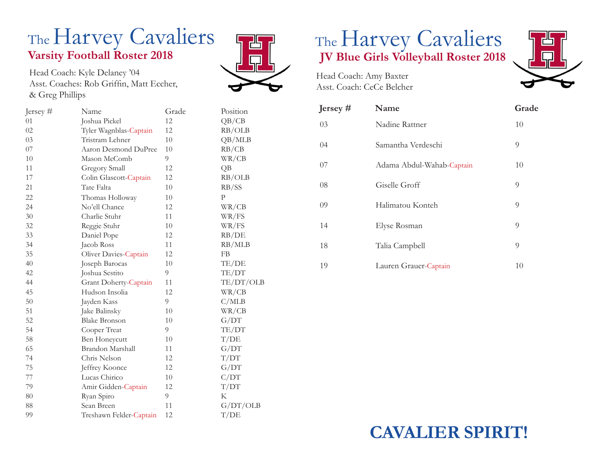#### The Harvey Cavaliers **Varsity Football Roster 2018**

Head Coach: Kyle Delaney '04 Asst. Coaches: Rob Griffin, Matt Eccher, & Greg Phillips

| Jersey $#$ | Name                    | Grade | Position     |
|------------|-------------------------|-------|--------------|
| 01         | Joshua Pickel           | 12    | QB/CB        |
| 02         | Tyler Wagnblas-Captain  | 12    | RB/OLB       |
| 03         | Tristram Lehner         | 10    | QB/MLB       |
| 07         | Aaron Desmond DuPree    | 10    | RB/CB        |
| 10         | Mason McComb            | 9     | WR/CB        |
| 11         | Gregory Small           | 12    | QB           |
| 17         | Colin Glascott-Captain  | 12    | RB/OLB       |
| 21         | Tate Falta              | 10    | RB/SS        |
| 22         | Thomas Holloway         | 10    | $\mathbf{P}$ |
| 24         | No'ell Chance           | 12    | WR/CB        |
| 30         | Charlie Stuhr           | 11    | WR/FS        |
| 32         | Reggie Stuhr            | 10    | WR/FS        |
| 33         | Daniel Pope             | 12    | RB/DE        |
| 34         | Jacob Ross              | 11    | RB/MLB       |
| 35         | Oliver Davies-Captain   | 12    | FB           |
| 40         | Joseph Barocas          | 10    | TE/DE        |
| 42         | Joshua Sestito          | 9     | TE/DT        |
| 44         | Grant Doherty-Captain   | 11    | TE/DT/OLB    |
| 45         | Hudson Insolia          | 12    | WR/CB        |
| 50         | Jayden Kass             | 9     | C/MLB        |
| 51         | Jake Balinsky           | 10    | WR/CB        |
| 52         | <b>Blake Bronson</b>    | 10    | G/DT         |
| 54         | Cooper Treat            | 9     | TE/DT        |
| 58         | Ben Honeycutt           | 10    | T/DE         |
| 65         | Brandon Marshall        | 11    | G/DT         |
| 74         | Chris Nelson            | 12    | T/DT         |
| 75         | Jeffrey Koonce          | 12    | G/DT         |
| 77         | Lucas Chirico           | 10    | C/DT         |
| 79         | Amir Gidden-Captain     | 12    | T/DT         |
| 80         | Ryan Spiro              | 9     | K            |
| 88         | Sean Breen              | 11    | G/DT/OLB     |
| 99         | Treshawn Felder-Captain | 12    | T/DE         |



# The Harvey Cavaliers **JV Blue Girls Volleyball Roster 2018**



Head Coach: Amy Baxter Asst. Coach: CeCe Belcher

| Jersey $#$ | Name                      | Grade |
|------------|---------------------------|-------|
| 03         | Nadine Rattner            | 10    |
| 04         | Samantha Verdeschi        | 9     |
| 07         | Adama Abdul-Wahab-Captain | 10    |
| 08         | Giselle Groff             | 9     |
| 09         | Halimatou Konteh          | 9     |
| 14         | Elyse Rosman              | 9     |
| 18         | Talia Campbell            | 9     |
| 19         | Lauren Grauer-Captain     | 10    |

### **CAVALIER SPIRIT!**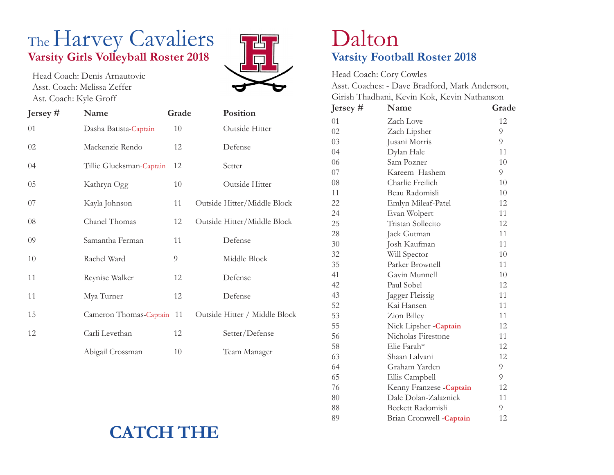### The Harvey Cavaliers **Varsity Girls Volleyball Roster 2018**

Head Coach: Denis Arnautovic Asst. Coach: Melissa Zeffer Ast. Coach: Kyle Groff

| Jersey $#$ | Name                      | Grade |         | Position                      |
|------------|---------------------------|-------|---------|-------------------------------|
| 01         | Dasha Batista-Captain     | 10    |         | Outside Hitter                |
| 02         | Mackenzie Rendo           | 12    | Defense |                               |
| 04         | Tillie Glucksman-Captain  | 12    | Setter  |                               |
| $05\,$     | Kathryn Ogg               | 10    |         | Outside Hitter                |
| 07         | Kayla Johnson             | 11    |         | Outside Hitter/Middle Block   |
| 08         | Chanel Thomas             | 12    |         | Outside Hitter/Middle Block   |
| 09         | Samantha Ferman           | 11    | Defense |                               |
| 10         | Rachel Ward               | 9     |         | Middle Block                  |
| 11         | Reynise Walker            | 12    | Defense |                               |
| 11         | Mya Turner                | 12    | Defense |                               |
| 15         | Cameron Thomas-Captain 11 |       |         | Outside Hitter / Middle Block |
| 12         | Carli Levethan            | 12    |         | Setter/Defense                |
|            | Abigail Crossman          | 10    |         | Team Manager                  |



#### Dalton **Varsity Football Roster 2018**

Head Coach: Cory Cowles Asst. Coaches: - Dave Bradford, Mark Anderson, Girish Thadhani, Kevin Kok, Kevin Nathanson

| Jersey $#$ | Name                     | Grade |
|------------|--------------------------|-------|
| 01         | Zach Love                | 12    |
| 02         | Zach Lipsher             | 9     |
| 03         | Jusani Morris            | 9     |
| 04         | Dylan Hale               | 11    |
| 06         | Sam Pozner               | 10    |
| 07         | Kareem Hashem            | 9     |
| 08         | Charlie Freilich         | 10    |
| 11         | Beau Radomisli           | 10    |
| 22         | Emlyn Mileaf-Patel       | 12    |
| 24         | Evan Wolpert             | 11    |
| 25         | Tristan Sollecito        | 12    |
| 28         | Jack Gutman              | 11    |
| 30         | Josh Kaufman             | 11    |
| 32         | Will Spector             | 10    |
| 35         | Parker Brownell          | 11    |
| 41         | Gavin Munnell            | 10    |
| 42         | Paul Sobel               | 12    |
| 43         | Jagger Fleissig          | 11    |
| 52         | Kai Hansen               | 11    |
| 53         | Zion Billey              | 11    |
| 55         | Nick Lipsher - Captain   | 12    |
| 56         | Nicholas Firestone       | 11    |
| 58         | Elie Farah*              | 12    |
| 63         | Shaan Lalvani            | 12    |
| 64         | Graham Yarden            | 9     |
| 65         | Ellis Campbell           | 9     |
| 76         | Kenny Franzese - Captain | 12    |
| 80         | Dale Dolan-Zalaznick     | 11    |
| 88         | Beckett Radomisli        | 9     |
| 89         | Brian Cromwell -Captain  | 12    |

### **CATCH THE**